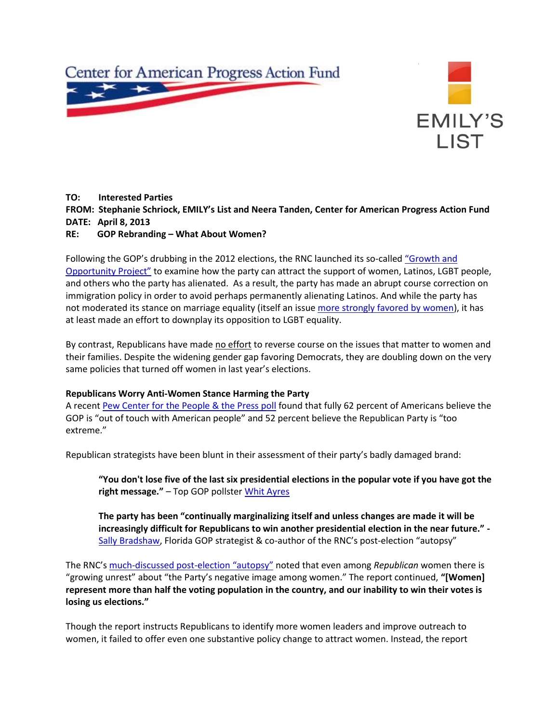



# **TO: Interested Parties FROM: Stephanie Schriock, EMILY's List and Neera Tanden, Center for American Progress Action Fund DATE: April 8, 2013 RE: GOP Rebranding – What About Women?**

Following the GOP's drubbing in the 2012 elections, the RNC launched its so-called "Growth and [Opportunity Project"](http://growthopp.gop.com/default.aspx) to examine how the party can attract the support of women, Latinos, LGBT people, and others who the party has alienated. As a result, the party has made an abrupt course correction on immigration policy in order to avoid perhaps permanently alienating Latinos. And while the party has not moderated its stance on marriage equality (itself an issue [more strongly favored by women\)](http://www.washingtonpost.com/page/2010-2019/WashingtonPost/2013/03/18/National-Politics/Polling/question_10009.xml?uuid=qPNlgI_1EeKRc3-Hzac7SQ), it has at least made an effort to downplay its opposition to LGBT equality.

By contrast, Republicans have made no effort to reverse course on the issues that matter to women and their families. Despite the widening gender gap favoring Democrats, they are doubling down on the very same policies that turned off women in last year's elections.

## **Republicans Worry Anti-Women Stance Harming the Party**

A recent [Pew Center for the People & the Press poll](http://www.people-press.org/2013/02/26/gop-seen-as-principled-but-out-of-touch-and-too-extreme/) found that fully 62 percent of Americans believe the GOP is "out of touch with American people" and 52 percent believe the Republican Party is "too extreme."

Republican strategists have been blunt in their assessment of their party's badly damaged brand:

**"You don't lose five of the last six presidential elections in the popular vote if you have got the right message."** – Top GOP pollster [Whit Ayres](http://www.pbs.org/newshour/rundown/2013/03/republican-cites-clinton-as-chance-for-gop-comeback.html)

**The party has been "continually marginalizing itself and unless changes are made it will be increasingly difficult for Republicans to win another presidential election in the near future." -** [Sally Bradshaw,](http://abcnews.go.com/Politics/OTUS/rnc-completes-autopsy-2012-loss-calls-inclusion-policy/story?id=18755809#.UVnFbqN2OuI) Florida GOP strategist & co-author of the RNC's post-election "autopsy"

The RNC's much-discussed post-[election "autopsy"](http://growthopp.gop.com/default.aspx) noted that even among *Republican* women there is "growing unrest" about "the Party's negative image among women." The report continued, **"[Women] represent more than half the voting population in the country, and our inability to win their votes is losing us elections."**

Though the report instructs Republicans to identify more women leaders and improve outreach to women, it failed to offer even one substantive policy change to attract women. Instead, the report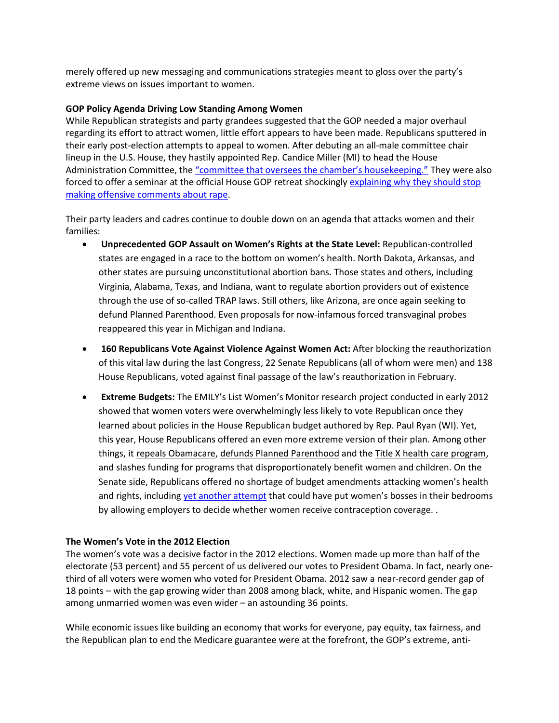merely offered up new messaging and communications strategies meant to gloss over the party's extreme views on issues important to women.

#### **GOP Policy Agenda Driving Low Standing Among Women**

While Republican strategists and party grandees suggested that the GOP needed a major overhaul regarding its effort to attract women, little effort appears to have been made. Republicans sputtered in their early post-election attempts to appeal to women. After debuting an all-male committee chair lineup in the U.S. House, they hastily appointed Rep. Candice Miller (MI) to head the House Administration Committee, the ["committee that oversees the chamber's housekeeping."](http://go.bloomberg.com/political-capital/2012-11-30/houses-chairwoman-charwoman/) They were also forced to offer a seminar at the official House GOP retreat shockingly [explaining why they should stop](http://thinkprogress.org/justice/2013/01/18/1466241/republicans-told-to-shut-up-about-rape-at-house-gop-retreat/)  [making offensive comments about rape.](http://thinkprogress.org/justice/2013/01/18/1466241/republicans-told-to-shut-up-about-rape-at-house-gop-retreat/)

Their party leaders and cadres continue to double down on an agenda that attacks women and their families:

- **Unprecedented GOP Assault on Women's Rights at the State Level:** Republican-controlled states are engaged in a race to the bottom on women's health. North Dakota, Arkansas, and other states are pursuing unconstitutional abortion bans. Those states and others, including Virginia, Alabama, Texas, and Indiana, want to regulate abortion providers out of existence through the use of so-called TRAP laws. Still others, like Arizona, are once again seeking to defund Planned Parenthood. Even proposals for now-infamous forced transvaginal probes reappeared this year in Michigan and Indiana.
- **160 Republicans Vote Against Violence Against Women Act:** After blocking the reauthorization of this vital law during the last Congress, 22 Senate Republicans (all of whom were men) and 138 House Republicans, voted against final passage of the law's reauthorization in February.
- **Extreme Budgets:** The EMILY's List Women's Monitor research project conducted in early 2012 showed that women voters were overwhelmingly less likely to vote Republican once they learned about policies in the House Republican budget authored by Rep. Paul Ryan (WI). Yet, this year, House Republicans offered an even more extreme version of their plan. Among other things, it repeals Obamacare, defunds Planned Parenthood and the Title X health care program, and slashes funding for programs that disproportionately benefit women and children. On the Senate side, Republicans offered no shortage of budget amendments attacking women's health and rights, including [yet another attempt](http://www.senate.gov/legislative/LIS/roll_call_lists/roll_call_vote_cfm.cfm?congress=113&session=1&vote=00055) that could have put women's bosses in their bedrooms by allowing employers to decide whether women receive contraception coverage. .

## **The Women's Vote in the 2012 Election**

The women's vote was a decisive factor in the 2012 elections. Women made up more than half of the electorate (53 percent) and 55 percent of us delivered our votes to President Obama. In fact, nearly onethird of all voters were women who voted for President Obama. 2012 saw a near-record gender gap of 18 points – with the gap growing wider than 2008 among black, white, and Hispanic women. The gap among unmarried women was even wider – an astounding 36 points.

While economic issues like building an economy that works for everyone, pay equity, tax fairness, and the Republican plan to end the Medicare guarantee were at the forefront, the GOP's extreme, anti